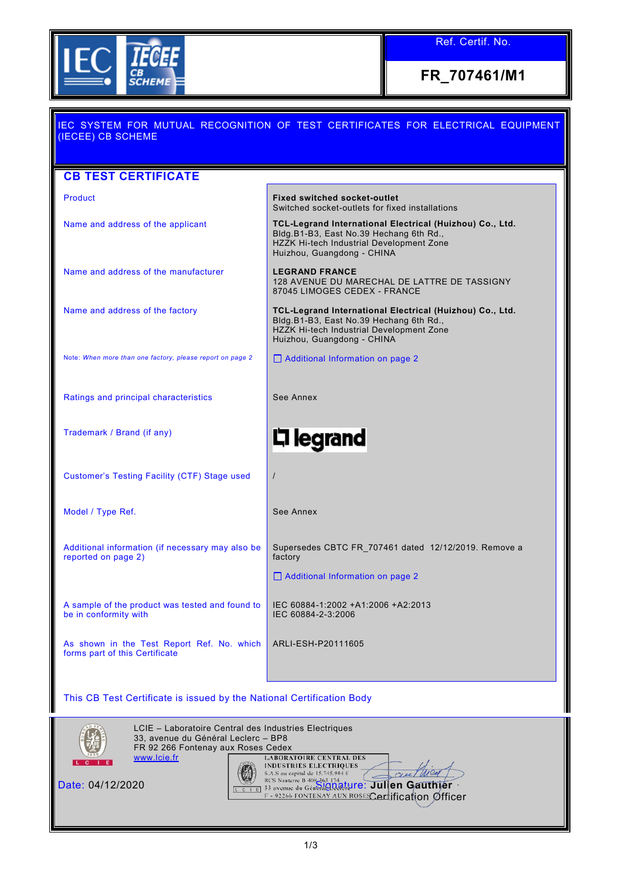

Ref. Certif. No.

**FR\_707461/M1**

| <u>IEC SYSTEM FOR MUTUAL RECOGNITION OF TEST CERTIFICATES FOR ELECTRICAL EQUIPMENT</u><br>(IECEE) CB SCHEME |                                                                                                                                                                               |  |  |  |
|-------------------------------------------------------------------------------------------------------------|-------------------------------------------------------------------------------------------------------------------------------------------------------------------------------|--|--|--|
|                                                                                                             |                                                                                                                                                                               |  |  |  |
| <b>CB TEST CERTIFICATE</b>                                                                                  |                                                                                                                                                                               |  |  |  |
| Product                                                                                                     | <b>Fixed switched socket-outlet</b><br>Switched socket-outlets for fixed installations                                                                                        |  |  |  |
| Name and address of the applicant                                                                           | TCL-Legrand International Electrical (Huizhou) Co., Ltd.<br>Bldg.B1-B3, East No.39 Hechang 6th Rd.,<br>HZZK Hi-tech Industrial Development Zone<br>Huizhou, Guangdong - CHINA |  |  |  |
| Name and address of the manufacturer                                                                        | <b>LEGRAND FRANCE</b><br>128 AVENUE DU MARECHAL DE LATTRE DE TASSIGNY<br>87045 LIMOGES CEDEX - FRANCE                                                                         |  |  |  |
| Name and address of the factory                                                                             | TCL-Legrand International Electrical (Huizhou) Co., Ltd.<br>Bldg.B1-B3, East No.39 Hechang 6th Rd.,<br>HZZK Hi-tech Industrial Development Zone<br>Huizhou, Guangdong - CHINA |  |  |  |
| Note: When more than one factory, please report on page 2                                                   | Additional Information on page 2                                                                                                                                              |  |  |  |
| Ratings and principal characteristics                                                                       | See Annex                                                                                                                                                                     |  |  |  |
| Trademark / Brand (if any)                                                                                  | 디 legrand                                                                                                                                                                     |  |  |  |
| <b>Customer's Testing Facility (CTF) Stage used</b>                                                         | $\prime$                                                                                                                                                                      |  |  |  |
| Model / Type Ref.                                                                                           | See Annex                                                                                                                                                                     |  |  |  |
| Additional information (if necessary may also be<br>reported on page 2)                                     | Supersedes CBTC FR_707461 dated 12/12/2019. Remove a<br>factory                                                                                                               |  |  |  |
|                                                                                                             | $\Box$ Additional Information on page 2                                                                                                                                       |  |  |  |
| A sample of the product was tested and found to<br>be in conformity with                                    | IEC 60884-1:2002 +A1:2006 +A2:2013<br>IEC 60884-2-3:2006                                                                                                                      |  |  |  |
| As shown in the Test Report Ref. No. which<br>forms part of this Certificate                                | ARLI-ESH-P20111605                                                                                                                                                            |  |  |  |
| This CB Test Certificate is issued by the National Certification Body                                       |                                                                                                                                                                               |  |  |  |
| LCIE - Laboratoire Central des Industries Electriques<br>33, avenue du Général Leclerc - BP8                |                                                                                                                                                                               |  |  |  |



FR 92 266 Fontenay aux Roses Cedex [www.lcie.fr](http://www.lcie.fr/) Date: 04/12/2020 Signature: **Julien Gauthier** Certification Officer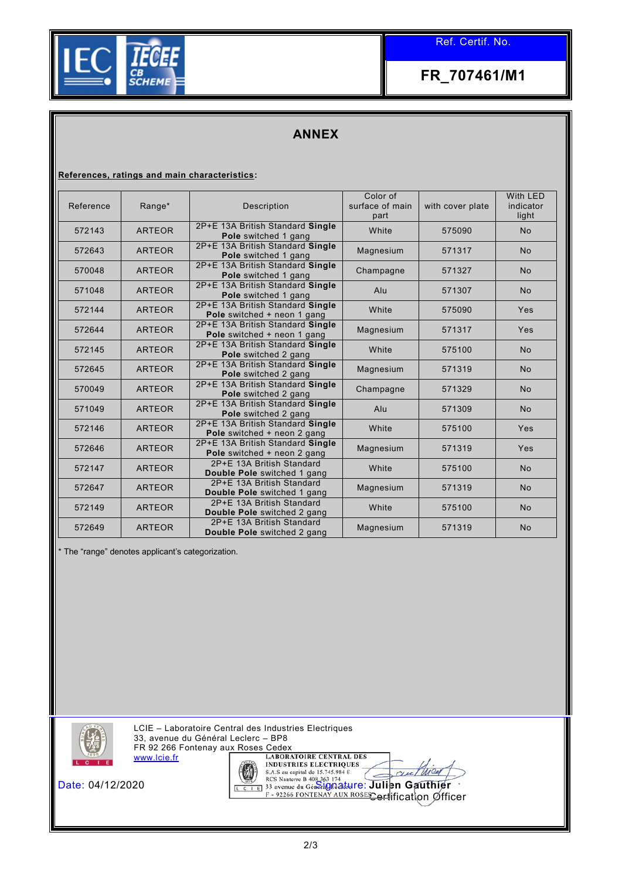

**FR\_707461/M1**

## **ANNEX**

**References, ratings and main characteristics:**

| Reference | Range*        | Description                                                     | Color of<br>surface of main<br>part | with cover plate | With LED<br>indicator<br>light |
|-----------|---------------|-----------------------------------------------------------------|-------------------------------------|------------------|--------------------------------|
| 572143    | <b>ARTEOR</b> | 2P+E 13A British Standard Single<br>Pole switched 1 gang        | White                               | 575090           | <b>No</b>                      |
| 572643    | <b>ARTEOR</b> | 2P+E 13A British Standard Single<br>Pole switched 1 gang        | Magnesium                           | 571317           | <b>No</b>                      |
| 570048    | <b>ARTEOR</b> | 2P+E 13A British Standard Single<br>Pole switched 1 gang        | Champagne                           | 571327           | No                             |
| 571048    | <b>ARTEOR</b> | 2P+E 13A British Standard Single<br>Pole switched 1 gang        | Alu                                 | 571307           | <b>No</b>                      |
| 572144    | <b>ARTEOR</b> | 2P+E 13A British Standard Single<br>Pole switched + neon 1 gang | White                               | 575090           | Yes                            |
| 572644    | <b>ARTEOR</b> | 2P+E 13A British Standard Single<br>Pole switched + neon 1 gang | Magnesium                           | 571317           | Yes                            |
| 572145    | <b>ARTEOR</b> | 2P+E 13A British Standard Single<br>Pole switched 2 gang        | White                               | 575100           | <b>No</b>                      |
| 572645    | <b>ARTEOR</b> | 2P+E 13A British Standard Single<br>Pole switched 2 gang        | Magnesium                           | 571319           | <b>No</b>                      |
| 570049    | <b>ARTEOR</b> | 2P+E 13A British Standard Single<br>Pole switched 2 gang        | Champagne                           | 571329           | <b>No</b>                      |
| 571049    | <b>ARTEOR</b> | 2P+E 13A British Standard Single<br>Pole switched 2 gang        | Alu                                 | 571309           | No                             |
| 572146    | <b>ARTEOR</b> | 2P+E 13A British Standard Single<br>Pole switched + neon 2 gang | White                               | 575100           | Yes                            |
| 572646    | <b>ARTEOR</b> | 2P+E 13A British Standard Single<br>Pole switched + neon 2 gang | Magnesium                           | 571319           | Yes                            |
| 572147    | <b>ARTEOR</b> | 2P+E 13A British Standard<br>Double Pole switched 1 gang        | White                               | 575100           | <b>No</b>                      |
| 572647    | <b>ARTEOR</b> | 2P+E 13A British Standard<br>Double Pole switched 1 gang        | Magnesium                           | 571319           | <b>No</b>                      |
| 572149    | <b>ARTEOR</b> | 2P+E 13A British Standard<br>Double Pole switched 2 gang        | White                               | 575100           | No                             |
| 572649    | <b>ARTEOR</b> | 2P+E 13A British Standard<br><b>Double Pole</b> switched 2 gang | Magnesium                           | 571319           | <b>No</b>                      |

\* The "range" denotes applicant's categorization.



LCIE – Laboratoire Central des Industries Electriques 33, avenue du Général Leclerc – BP8 FR 92 266 Fontenay aux Roses Cedex [www.lcie.fr](http://www.lcie.fr/)



**Date: 04/12/2020** Signature: **Julien Gauthier** <del>Cert</del>lification Øfficer